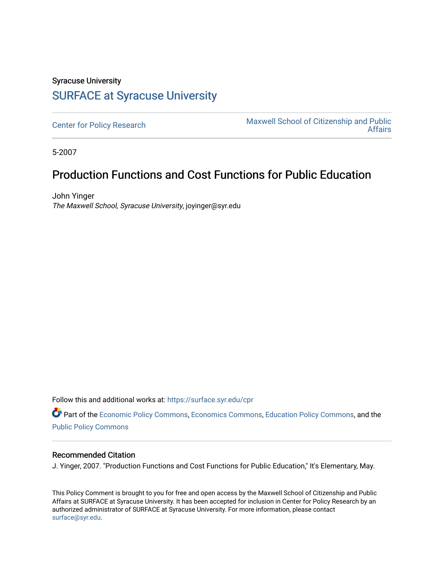## Syracuse University [SURFACE at Syracuse University](https://surface.syr.edu/)

[Center for Policy Research](https://surface.syr.edu/cpr) Maxwell School of Citizenship and Public<br>Affairs [Affairs](https://surface.syr.edu/maxwell) 

5-2007

## Production Functions and Cost Functions for Public Education

John Yinger The Maxwell School, Syracuse University, joyinger@syr.edu

Follow this and additional works at: [https://surface.syr.edu/cpr](https://surface.syr.edu/cpr?utm_source=surface.syr.edu%2Fcpr%2F372&utm_medium=PDF&utm_campaign=PDFCoverPages) 

Part of the [Economic Policy Commons](http://network.bepress.com/hgg/discipline/1025?utm_source=surface.syr.edu%2Fcpr%2F372&utm_medium=PDF&utm_campaign=PDFCoverPages), [Economics Commons,](http://network.bepress.com/hgg/discipline/340?utm_source=surface.syr.edu%2Fcpr%2F372&utm_medium=PDF&utm_campaign=PDFCoverPages) [Education Policy Commons](http://network.bepress.com/hgg/discipline/1026?utm_source=surface.syr.edu%2Fcpr%2F372&utm_medium=PDF&utm_campaign=PDFCoverPages), and the [Public Policy Commons](http://network.bepress.com/hgg/discipline/400?utm_source=surface.syr.edu%2Fcpr%2F372&utm_medium=PDF&utm_campaign=PDFCoverPages)

## Recommended Citation

J. Yinger, 2007. "Production Functions and Cost Functions for Public Education," It's Elementary, May.

This Policy Comment is brought to you for free and open access by the Maxwell School of Citizenship and Public Affairs at SURFACE at Syracuse University. It has been accepted for inclusion in Center for Policy Research by an authorized administrator of SURFACE at Syracuse University. For more information, please contact [surface@syr.edu.](mailto:surface@syr.edu)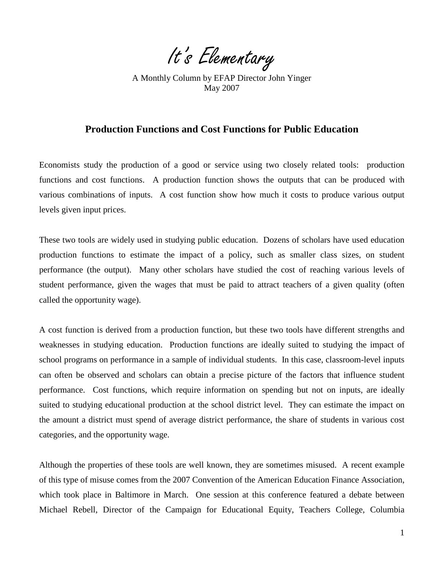It's Elementary

A Monthly Column by EFAP Director John Yinger May 2007

## **Production Functions and Cost Functions for Public Education**

Economists study the production of a good or service using two closely related tools: production functions and cost functions. A production function shows the outputs that can be produced with various combinations of inputs. A cost function show how much it costs to produce various output levels given input prices.

These two tools are widely used in studying public education. Dozens of scholars have used education production functions to estimate the impact of a policy, such as smaller class sizes, on student performance (the output). Many other scholars have studied the cost of reaching various levels of student performance, given the wages that must be paid to attract teachers of a given quality (often called the opportunity wage).

A cost function is derived from a production function, but these two tools have different strengths and weaknesses in studying education. Production functions are ideally suited to studying the impact of school programs on performance in a sample of individual students. In this case, classroom-level inputs can often be observed and scholars can obtain a precise picture of the factors that influence student performance. Cost functions, which require information on spending but not on inputs, are ideally suited to studying educational production at the school district level. They can estimate the impact on the amount a district must spend of average district performance, the share of students in various cost categories, and the opportunity wage.

<span id="page-1-0"></span>Although the properties of these tools are well known, they are sometimes misused. A recent example of this type of misuse comes from the 2007 Convention of the American Education Finance Association, which took place in Baltimore in March. One session at this conference featured a debate between Michael Rebell, Director of the Campaign for Educational Equity, Teachers College, Columbia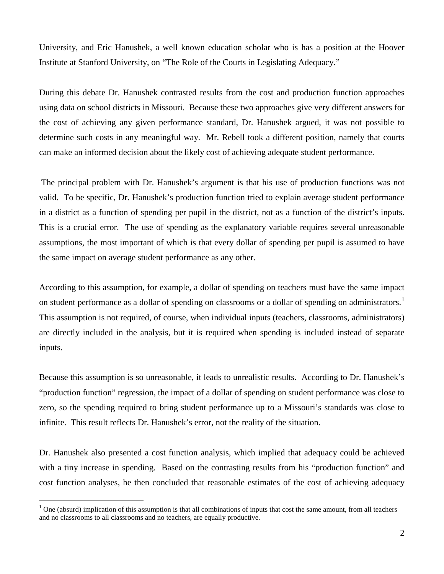University, and Eric Hanushek, a well known education scholar who is has a position at the Hoover Institute at Stanford University, on "The Role of the Courts in Legislating Adequacy."

During this debate Dr. Hanushek contrasted results from the cost and production function approaches using data on school districts in Missouri. Because these two approaches give very different answers for the cost of achieving any given performance standard, Dr. Hanushek argued, it was not possible to determine such costs in any meaningful way. Mr. Rebell took a different position, namely that courts can make an informed decision about the likely cost of achieving adequate student performance.

The principal problem with Dr. Hanushek's argument is that his use of production functions was not valid. To be specific, Dr. Hanushek's production function tried to explain average student performance in a district as a function of spending per pupil in the district, not as a function of the district's inputs. This is a crucial error. The use of spending as the explanatory variable requires several unreasonable assumptions, the most important of which is that every dollar of spending per pupil is assumed to have the same impact on average student performance as any other.

According to this assumption, for example, a dollar of spending on teachers must have the same impact on student performance as a dollar of spending on classrooms or a dollar of spending on administrators.<sup>1</sup> This assumption is not required, of course, when individual inputs (teachers, classrooms, administrators) are directly included in the analysis, but it is required when spending is included instead of separate inputs.

Because this assumption is so unreasonable, it leads to unrealistic results. According to Dr. Hanushek's "production function" regression, the impact of a dollar of spending on student performance was close to zero, so the spending required to bring student performance up to a Missouri's standards was close to infinite. This result reflects Dr. Hanushek's error, not the reality of the situation.

Dr. Hanushek also presented a cost function analysis, which implied that adequacy could be achieved with a tiny increase in spending. Based on the contrasting results from his "production function" and cost function analyses, he then concluded that reasonable estimates of the cost of achieving adequacy

<span id="page-2-0"></span> $\overline{a}$ 

 $1$  One (absurd) implication of this assumption is that all combinations of inputs that cost the same amount, from all teachers and no classrooms to all classrooms and no teachers, are equally productive.